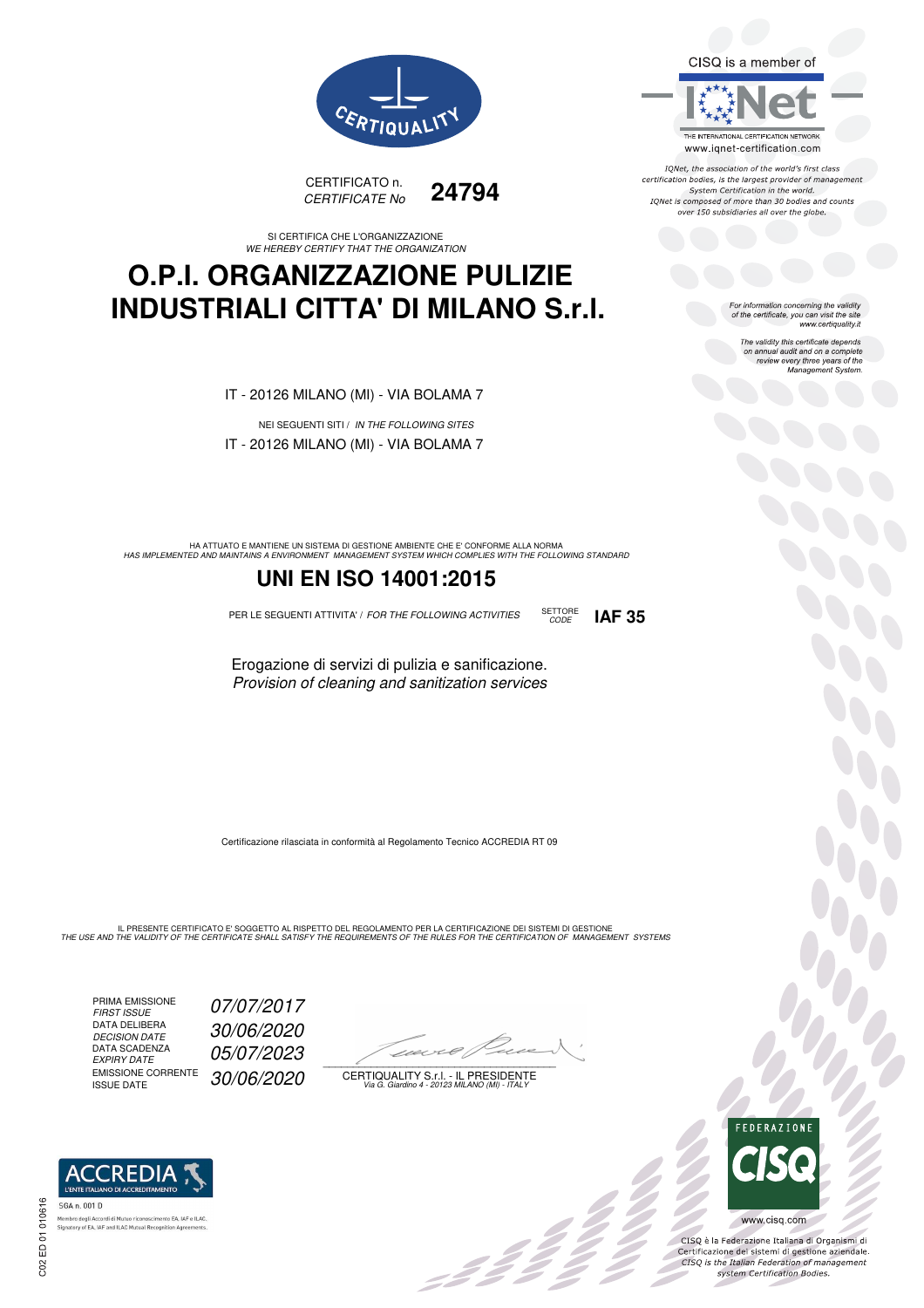



SI CERTIFICA CHE L'ORGANIZZAZIONE WE HEREBY CERTIFY THAT THE ORGANIZATION

### **O.P.I. ORGANIZZAZIONE PULIZIE INDUSTRIALI CITTA' DI MILANO S.r.l.**

IT - 20126 MILANO (MI) - VIA BOLAMA 7

NEI SEGUENTI SITI / IN THE FOLLOWING SITES IT - 20126 MILANO (MI) - VIA BOLAMA 7

HA ATTUATO E MANTIENE UN SISTEMA DI GESTIONE AMBIENTE CHE E' CONFORME ALLA NORMA<br>HAS IMPLEMENTED AND MAINTAINS A ENVIRONMENT MANAGEMENT SYSTEM WHICH COMPLIES WITH THE FOLLOWING STANDARD

### **UNI EN ISO 14001:2015**

PER LE SEGUENTI ATTIVITA' / FOR THE FOLLOWING ACTIVITIES SETTORE

CODE **IAF 35**

Erogazione di servizi di pulizia e sanificazione. Provision of cleaning and sanitization services

Certificazione rilasciata in conformità al Regolamento Tecnico ACCREDIA RT 09

IL PRESENTE CERTIFICATO E' SOGGETTO AL RISPETTO DEL REGOLAMENTO PER LA CERTIFICAZIONE DEI SISTEMI DI GESTIONE<br>THE USE AND THE VALIDITY OF THE CERTIFICATE SHALL SATISFY THE REQUIREMENTS OF THE RULES FOR THE CERTIFICATION OF

PRIMA EMISSIONE<br>FIRST ISSUE DATA DELIBERA DECISION DATE<br>DATA SCADENZA<br>EXPIRY DATE EMISSIONE CORRENTE<br>ISSUE DATE

**REDIA** 

ento EA, IAF e ILAC

07/07/2017 DECISION DATE 30/06/2020 05/07/2023 30/06/2020

 $\overline{\phantom{a}}$ 

:42<br>1

CERTIQUALITY S.r.l. - IL PRESIDENTE Via G. Giardino 4 - 20123 MILANO (MI) - ITALY



TONet, the association of the world's first class reflect, the association of the world's mist class<br>certification bodies, is the largest provider of management System Certification in the world.<br>IQNet is composed of more than 30 bodies and counts over 150 subsidiaries all over the globe.

> For information concerning the validity<br>of the certificate, you can visit the site www.certiquality.it

> > The validity this certificate depends on annual audit and on a complete review every three years of the<br>Management System.



 $\frac{1}{2}$ 

CISQ è la Federazione Italiana di Organismi di<br>Certificazione dei sistemi di gestione aziendale.<br>CISQ is the Italian Federation of management<br>system Certification Bodies.